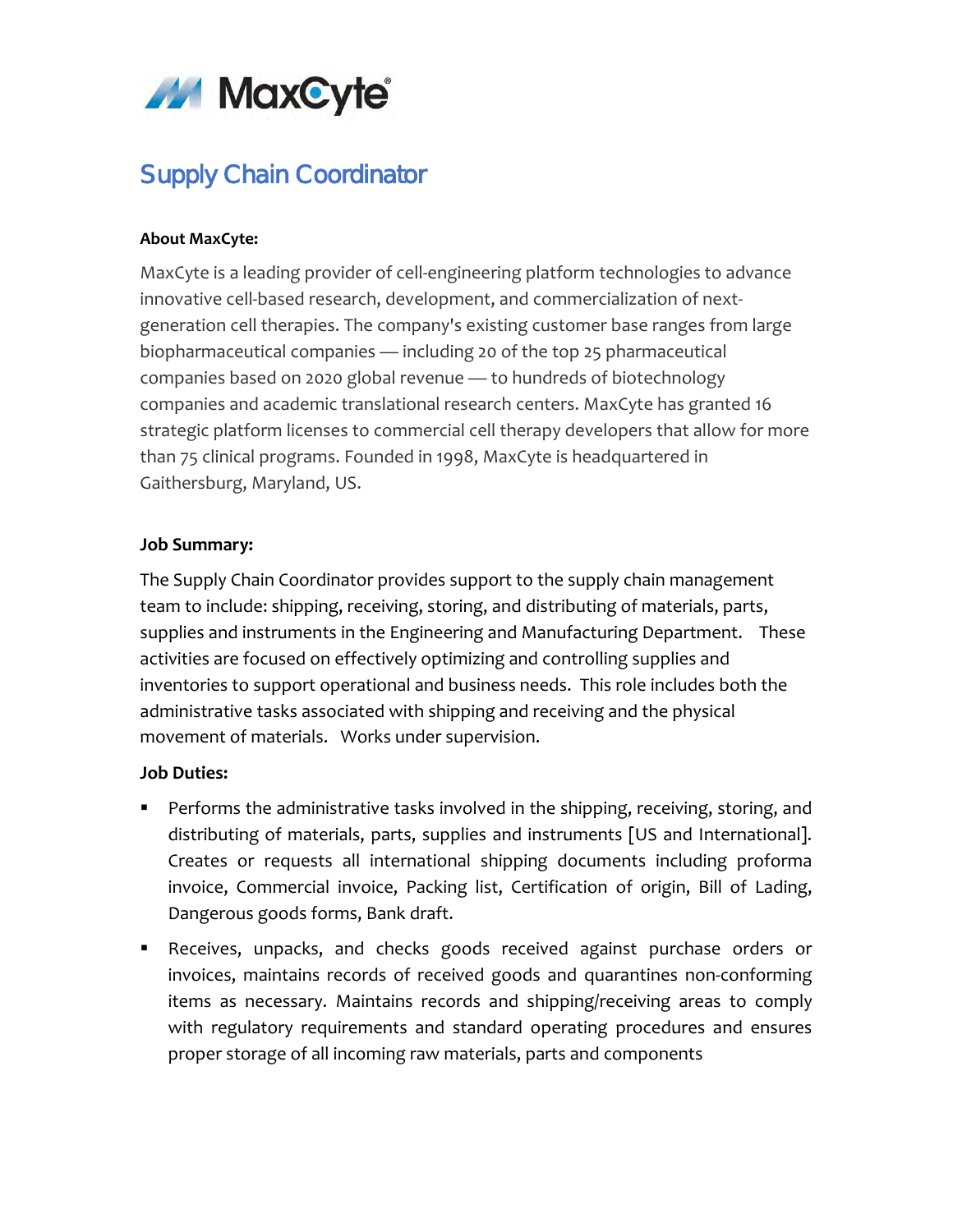

# Supply Chain Coordinator

#### **About MaxCyte:**

MaxCyte is a leading provider of cell-engineering platform technologies to advance innovative cell-based research, development, and commercialization of nextgeneration cell therapies. The company's existing customer base ranges from large biopharmaceutical companies — including 20 of the top 25 pharmaceutical companies based on 2020 global revenue — to hundreds of biotechnology companies and academic translational research centers. MaxCyte has granted 16 strategic platform licenses to commercial cell therapy developers that allow for more than 75 clinical programs. Founded in 1998, MaxCyte is headquartered in Gaithersburg, Maryland, US.

#### **Job Summary:**

The Supply Chain Coordinator provides support to the supply chain management team to include: shipping, receiving, storing, and distributing of materials, parts, supplies and instruments in the Engineering and Manufacturing Department. These activities are focused on effectively optimizing and controlling supplies and inventories to support operational and business needs. This role includes both the administrative tasks associated with shipping and receiving and the physical movement of materials. Works under supervision.

### **Job Duties:**

- **Performs the administrative tasks involved in the shipping, receiving, storing, and** distributing of materials, parts, supplies and instruments [US and International]. Creates or requests all international shipping documents including proforma invoice, Commercial invoice, Packing list, Certification of origin, Bill of Lading, Dangerous goods forms, Bank draft.
- Receives, unpacks, and checks goods received against purchase orders or invoices, maintains records of received goods and quarantines non-conforming items as necessary. Maintains records and shipping/receiving areas to comply with regulatory requirements and standard operating procedures and ensures proper storage of all incoming raw materials, parts and components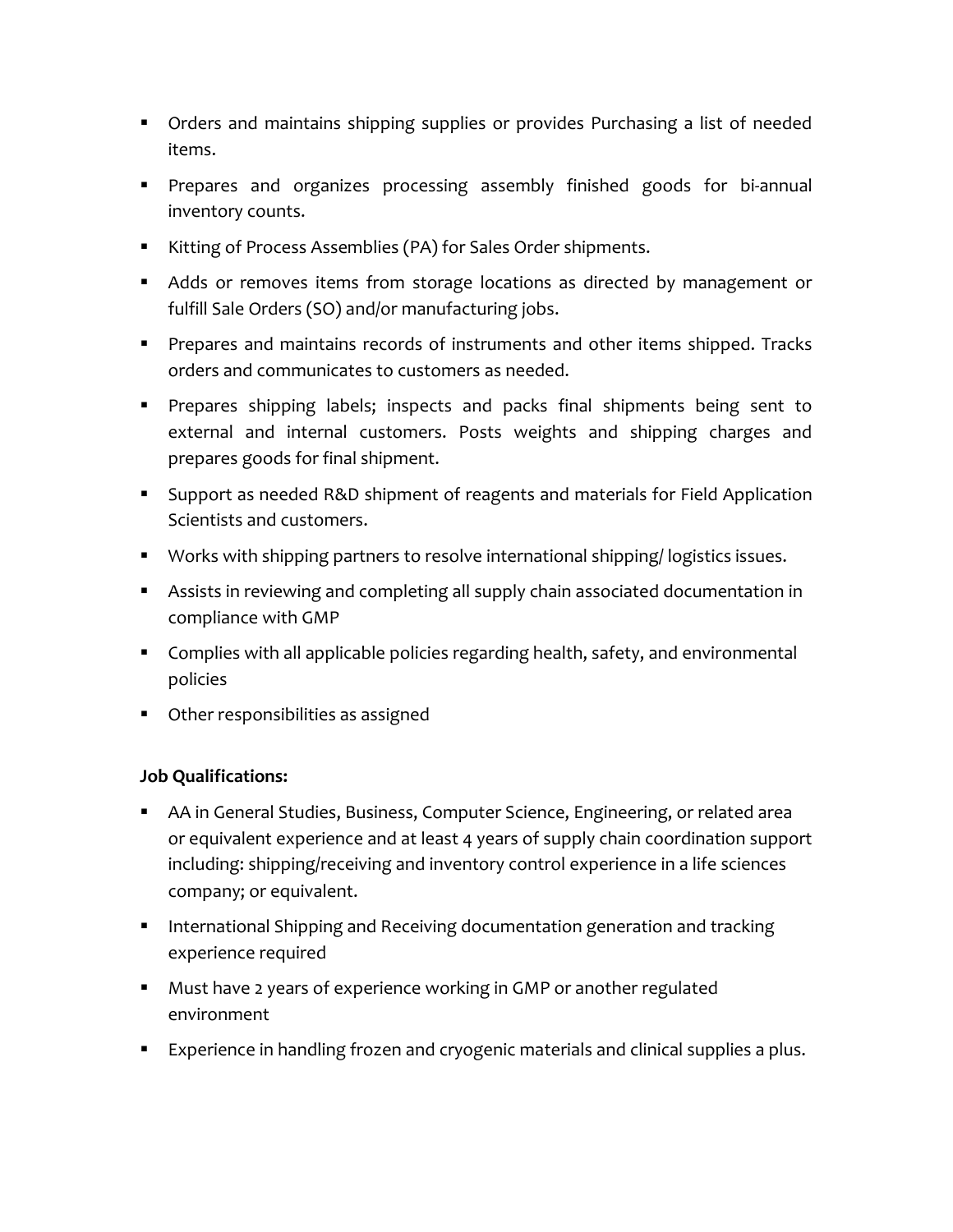- Orders and maintains shipping supplies or provides Purchasing a list of needed items.
- **Prepares and organizes processing assembly finished goods for bi-annual** inventory counts.
- Kitting of Process Assemblies (PA) for Sales Order shipments.
- Adds or removes items from storage locations as directed by management or fulfill Sale Orders (SO) and/or manufacturing jobs.
- **Prepares and maintains records of instruments and other items shipped. Tracks** orders and communicates to customers as needed.
- **Prepares shipping labels; inspects and packs final shipments being sent to** external and internal customers. Posts weights and shipping charges and prepares goods for final shipment.
- Support as needed R&D shipment of reagents and materials for Field Application Scientists and customers.
- **Works with shipping partners to resolve international shipping/ logistics issues.**
- Assists in reviewing and completing all supply chain associated documentation in compliance with GMP
- **Complies with all applicable policies regarding health, safety, and environmental** policies
- **•** Other responsibilities as assigned

## **Job Qualifications:**

- AA in General Studies, Business, Computer Science, Engineering, or related area or equivalent experience and at least 4 years of supply chain coordination support including: shipping/receiving and inventory control experience in a life sciences company; or equivalent.
- **International Shipping and Receiving documentation generation and tracking** experience required
- Must have 2 years of experience working in GMP or another regulated environment
- **Experience in handling frozen and cryogenic materials and clinical supplies a plus.**